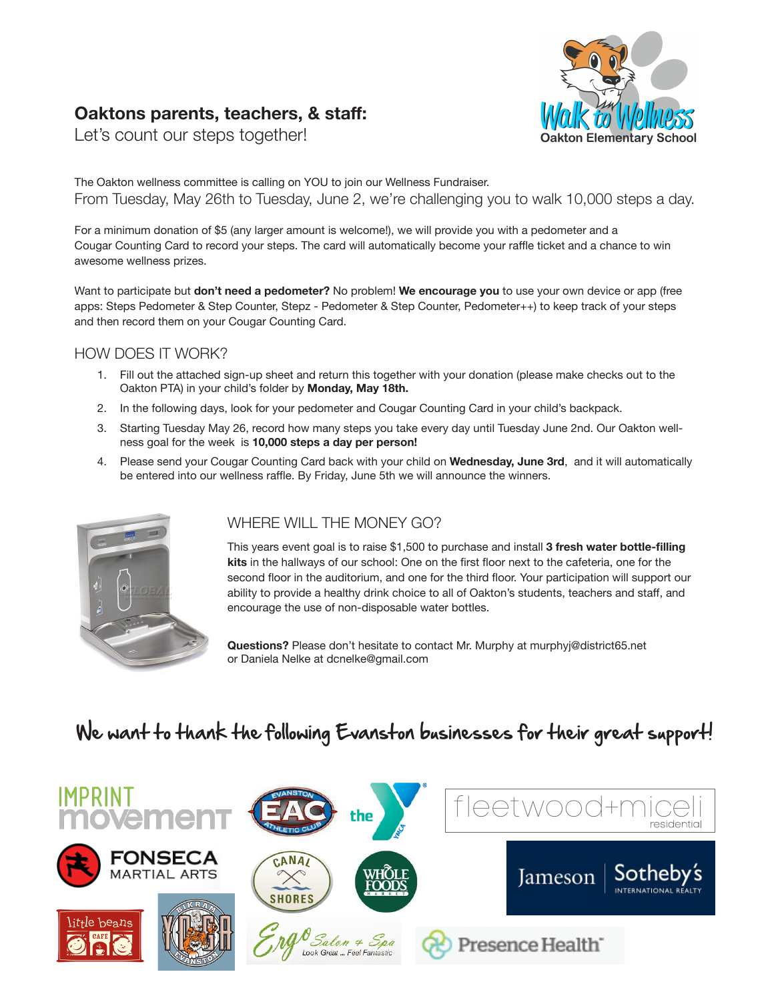# **Oaktons parents, teachers, & staff:**



Let's count our steps together!

The Oakton wellness committee is calling on YOU to join our Wellness Fundraiser. From Tuesday, May 26th to Tuesday, June 2, we're challenging you to walk 10,000 steps a day.

For a minimum donation of \$5 (any larger amount is welcome!), we will provide you with a pedometer and a Cougar Counting Card to record your steps. The card will automatically become your raffle ticket and a chance to win awesome wellness prizes.

Want to participate but **don't need a pedometer?** No problem! **We encourage you** to use your own device or app (free apps: Steps Pedometer & Step Counter, Stepz - Pedometer & Step Counter, Pedometer++) to keep track of your steps and then record them on your Cougar Counting Card.

#### HOW DOES IT WORK?

- 1. Fill out the attached sign-up sheet and return this together with your donation (please make checks out to the Oakton PTA) in your child's folder by **Monday, May 18th.**
- 2. In the following days, look for your pedometer and Cougar Counting Card in your child's backpack.
- 3. Starting Tuesday May 26, record how many steps you take every day until Tuesday June 2nd. Our Oakton wellness goal for the week is **10,000 steps a day per person!**
- 4. Please send your Cougar Counting Card back with your child on **Wednesday, June 3rd**, and it will automatically be entered into our wellness raffle. By Friday, June 5th we will announce the winners.



### WHERE WILL THE MONEY GO?

This years event goal is to raise \$1,500 to purchase and install **3 fresh water bottle-filling**<br>**kits** in the hallways of our school: One on the first floor next to the cafeteria, one for the **kits** in the hallways of our school: One on the first floor next to the cafeteria, one for the second floor in the auditorium, and one for the third floor. Your participation will support our ability to provide a healthy drink choice to all of Oakton's students, teachers and staff, and encourage the use of non-disposable water bottles. **ART**

**Questions?** Please don't hesitate to contact Mr. Murphy at murphyj@district65.net or Daniela Nelke at dcnelke@gmail.com

# We want to thank the following Evanston businesses for their great support!